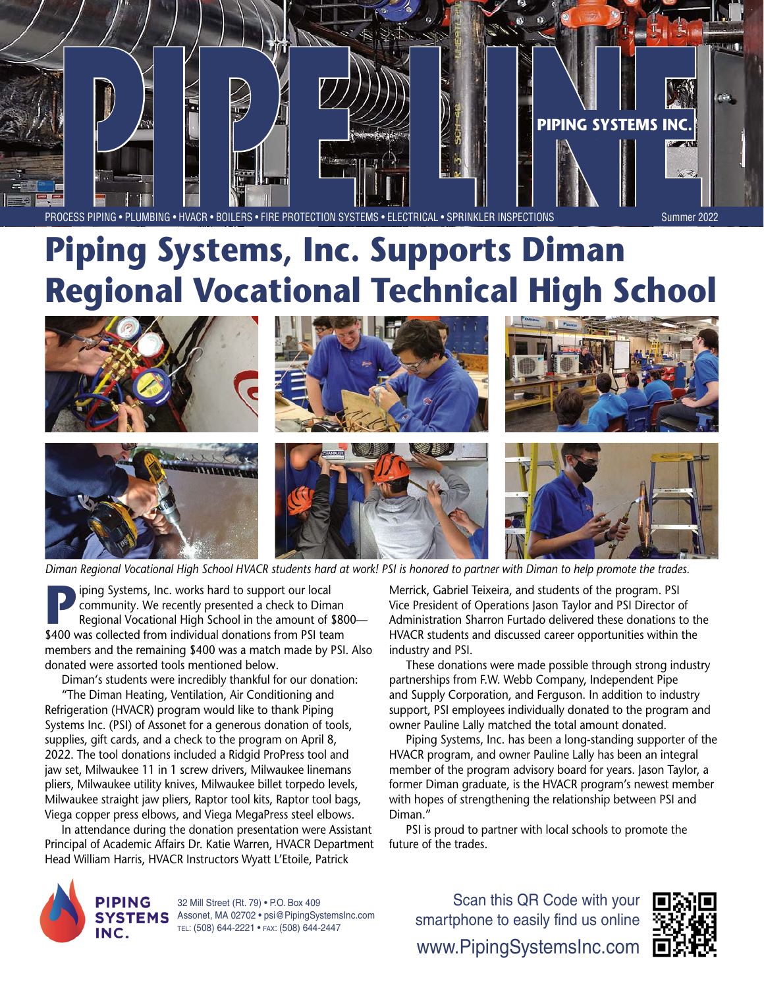

# **Piping Systems, Inc. Supports Diman Regional Vocational Technical High School**



*Diman Regional Vocational High School HVACR students hard at work! PSI is honored to partner with Diman to help promote the trades.*

**Position** Systems, Inc. works hard to support our local<br>community. We recently presented a check to Dima<br>Regional Vocational High School in the amount of \$ community. We recently presented a check to Diman Regional Vocational High School in the amount of \$800— \$400 was collected from individual donations from PSI team members and the remaining \$400 was a match made by PSI. Also donated were assorted tools mentioned below.

Diman's students were incredibly thankful for our donation: "The Diman Heating, Ventilation, Air Conditioning and Refrigeration (HVACR) program would like to thank Piping Systems Inc. (PSI) of Assonet for a generous donation of tools, supplies, gift cards, and a check to the program on April 8, 2022. The tool donations included a Ridgid ProPress tool and jaw set, Milwaukee 11 in 1 screw drivers, Milwaukee linemans pliers, Milwaukee utility knives, Milwaukee billet torpedo levels, Milwaukee straight jaw pliers, Raptor tool kits, Raptor tool bags, Viega copper press elbows, and Viega MegaPress steel elbows.

In attendance during the donation presentation were Assistant Principal of Academic Affairs Dr. Katie Warren, HVACR Department Head William Harris, HVACR Instructors Wyatt L'Etoile, Patrick

Merrick, Gabriel Teixeira, and students of the program. PSI Vice President of Operations Jason Taylor and PSI Director of Administration Sharron Furtado delivered these donations to the HVACR students and discussed career opportunities within the industry and PSI.

These donations were made possible through strong industry partnerships from F.W. Webb Company, Independent Pipe and Supply Corporation, and Ferguson. In addition to industry support, PSI employees individually donated to the program and owner Pauline Lally matched the total amount donated.

Piping Systems, Inc. has been a long-standing supporter of the HVACR program, and owner Pauline Lally has been an integral member of the program advisory board for years. Jason Taylor, a former Diman graduate, is the HVACR program's newest member with hopes of strengthening the relationship between PSI and Diman."

PSI is proud to partner with local schools to promote the future of the trades.



32 Mill Street (Rt. 79) • P.O. Box 409 SYSTEMS Assonet, MA 02702 · psi@PipingSystemsInc.com tel: (508) 644-2221 • fax: (508) 644-2447

www.PipingSystemsInc.com Scan this QR Code with your smartphone to easily find us online

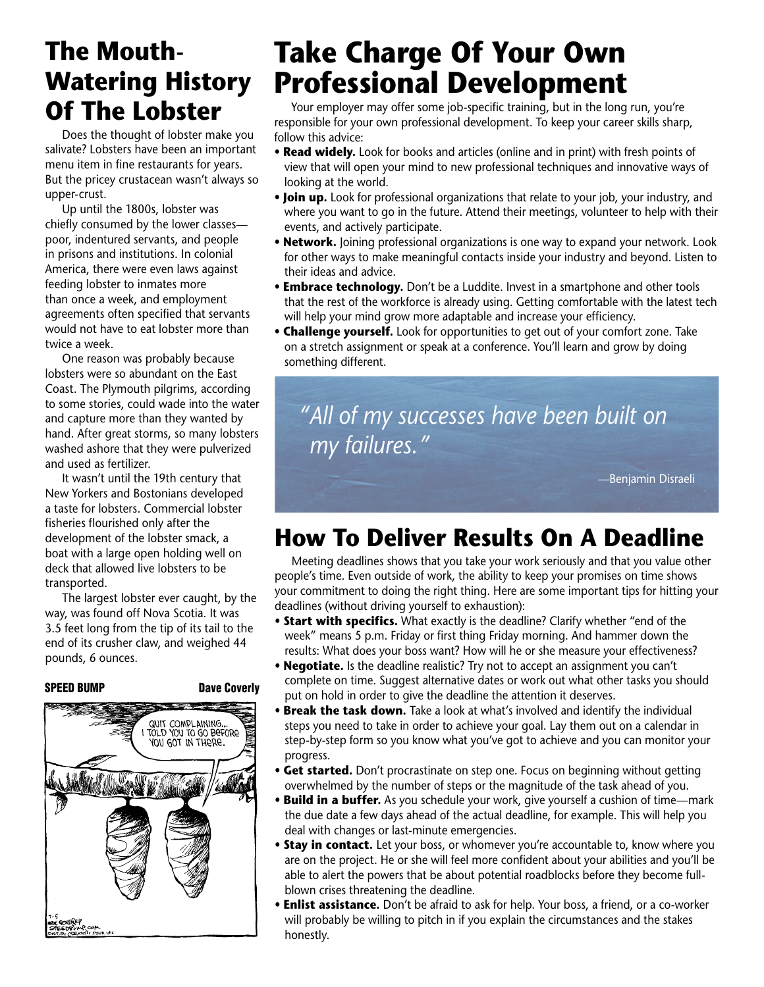### **The Mouth-Watering History Of The Lobster**

Does the thought of lobster make you salivate? Lobsters have been an important menu item in fine restaurants for years. But the pricey crustacean wasn't always so upper-crust.

Up until the 1800s, lobster was chiefly consumed by the lower classes poor, indentured servants, and people in prisons and institutions. In colonial America, there were even laws against feeding lobster to inmates more than once a week, and employment agreements often specified that servants would not have to eat lobster more than twice a week.

One reason was probably because lobsters were so abundant on the East Coast. The Plymouth pilgrims, according to some stories, could wade into the water and capture more than they wanted by hand. After great storms, so many lobsters washed ashore that they were pulverized and used as fertilizer.

It wasn't until the 19th century that New Yorkers and Bostonians developed a taste for lobsters. Commercial lobster fisheries flourished only after the development of the lobster smack, a boat with a large open holding well on deck that allowed live lobsters to be transported.

The largest lobster ever caught, by the way, was found off Nova Scotia. It was 3.5 feet long from the tip of its tail to the end of its crusher claw, and weighed 44 pounds, 6 ounces.





# **Take Charge Of Your Own Professional Development**

Your employer may offer some job-specific training, but in the long run, you're responsible for your own professional development. To keep your career skills sharp, follow this advice:

- **Read widely.** Look for books and articles (online and in print) with fresh points of view that will open your mind to new professional techniques and innovative ways of looking at the world.
- **Join up.** Look for professional organizations that relate to your job, your industry, and where you want to go in the future. Attend their meetings, volunteer to help with their events, and actively participate.
- **Network.** Joining professional organizations is one way to expand your network. Look for other ways to make meaningful contacts inside your industry and beyond. Listen to their ideas and advice.
- **Embrace technology.** Don't be a Luddite. Invest in a smartphone and other tools that the rest of the workforce is already using. Getting comfortable with the latest tech will help your mind grow more adaptable and increase your efficiency.
- **Challenge yourself.** Look for opportunities to get out of your comfort zone. Take on a stretch assignment or speak at a conference. You'll learn and grow by doing something different.

*"All of my successes have been built on my failures."*

—Benjamin Disraeli

## **How To Deliver Results On A Deadline**

Meeting deadlines shows that you take your work seriously and that you value other people's time. Even outside of work, the ability to keep your promises on time shows your commitment to doing the right thing. Here are some important tips for hitting your deadlines (without driving yourself to exhaustion):

- **Start with specifics.** What exactly is the deadline? Clarify whether "end of the week" means 5 p.m. Friday or first thing Friday morning. And hammer down the results: What does your boss want? How will he or she measure your effectiveness?
- **Negotiate.** Is the deadline realistic? Try not to accept an assignment you can't complete on time. Suggest alternative dates or work out what other tasks you should put on hold in order to give the deadline the attention it deserves.
- **Break the task down.** Take a look at what's involved and identify the individual steps you need to take in order to achieve your goal. Lay them out on a calendar in step-by-step form so you know what you've got to achieve and you can monitor your progress.
- **Get started.** Don't procrastinate on step one. Focus on beginning without getting overwhelmed by the number of steps or the magnitude of the task ahead of you.
- **Build in a buffer.** As you schedule your work, give yourself a cushion of time—mark the due date a few days ahead of the actual deadline, for example. This will help you deal with changes or last-minute emergencies.
- **Stay in contact.** Let your boss, or whomever you're accountable to, know where you are on the project. He or she will feel more confident about your abilities and you'll be able to alert the powers that be about potential roadblocks before they become fullblown crises threatening the deadline.
- **Enlist assistance.** Don't be afraid to ask for help. Your boss, a friend, or a co-worker will probably be willing to pitch in if you explain the circumstances and the stakes honestly.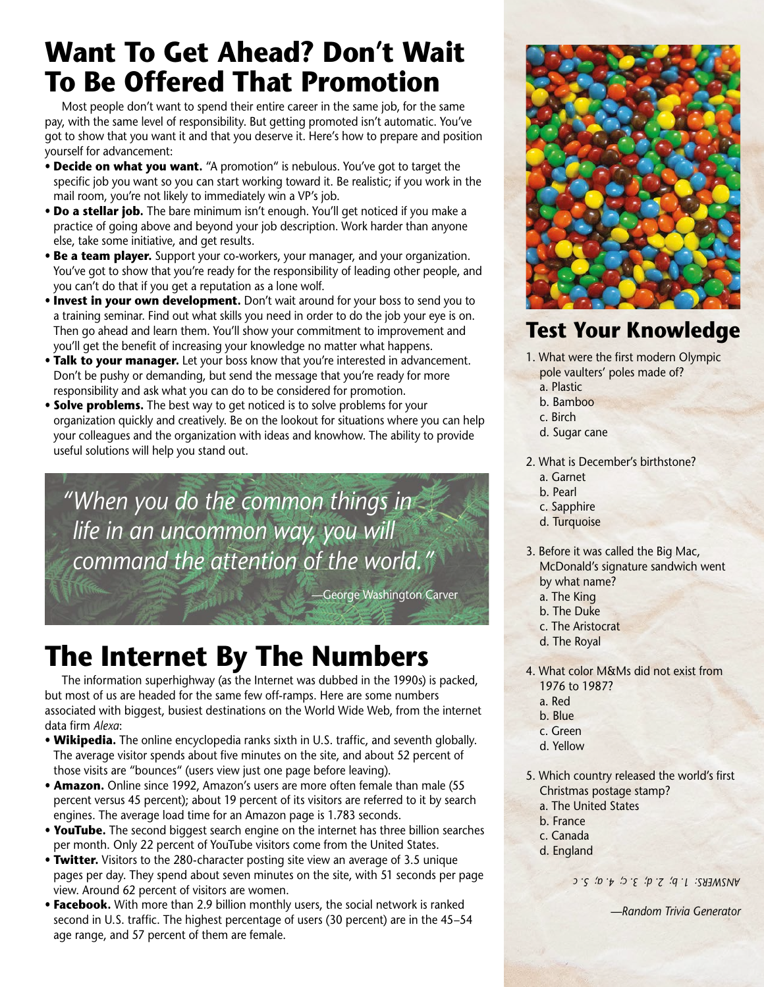## **Want To Get Ahead? Don't Wait To Be Offered That Promotion**

Most people don't want to spend their entire career in the same job, for the same pay, with the same level of responsibility. But getting promoted isn't automatic. You've got to show that you want it and that you deserve it. Here's how to prepare and position yourself for advancement:

- **Decide on what you want.** "A promotion" is nebulous. You've got to target the specific job you want so you can start working toward it. Be realistic; if you work in the mail room, you're not likely to immediately win a VP's job.
- **Do a stellar job.** The bare minimum isn't enough. You'll get noticed if you make a practice of going above and beyond your job description. Work harder than anyone else, take some initiative, and get results.
- **Be a team player.** Support your co-workers, your manager, and your organization. You've got to show that you're ready for the responsibility of leading other people, and you can't do that if you get a reputation as a lone wolf.
- **Invest in your own development.** Don't wait around for your boss to send you to a training seminar. Find out what skills you need in order to do the job your eye is on. Then go ahead and learn them. You'll show your commitment to improvement and you'll get the benefit of increasing your knowledge no matter what happens.
- **Talk to your manager.** Let your boss know that you're interested in advancement. Don't be pushy or demanding, but send the message that you're ready for more responsibility and ask what you can do to be considered for promotion.
- **Solve problems.** The best way to get noticed is to solve problems for your organization quickly and creatively. Be on the lookout for situations where you can help your colleagues and the organization with ideas and knowhow. The ability to provide useful solutions will help you stand out.

*"When you do the common things in life in an uncommon way, you will command the attention of the world."*

—George Washington Carver

# **The Internet By The Numbers**

The information superhighway (as the Internet was dubbed in the 1990s) is packed, but most of us are headed for the same few off-ramps. Here are some numbers associated with biggest, busiest destinations on the World Wide Web, from the internet data firm *Alexa*:

- **Wikipedia.** The online encyclopedia ranks sixth in U.S. traffic, and seventh globally. The average visitor spends about five minutes on the site, and about 52 percent of those visits are "bounces" (users view just one page before leaving).
- **Amazon.** Online since 1992, Amazon's users are more often female than male (55 percent versus 45 percent); about 19 percent of its visitors are referred to it by search engines. The average load time for an Amazon page is 1.783 seconds.
- **YouTube.** The second biggest search engine on the internet has three billion searches per month. Only 22 percent of YouTube visitors come from the United States.
- **Twitter.** Visitors to the 280-character posting site view an average of 3.5 unique pages per day. They spend about seven minutes on the site, with 51 seconds per page view. Around 62 percent of visitors are women.
- **Facebook.** With more than 2.9 billion monthly users, the social network is ranked second in U.S. traffic. The highest percentage of users (30 percent) are in the 45–54 age range, and 57 percent of them are female.



### **Test Your Knowledge**

- 1. What were the first modern Olympic pole vaulters' poles made of?
	- a. Plastic
	- b. Bamboo
	- c. Birch
	- d. Sugar cane
- 2. What is December's birthstone?
	- a. Garnet
	- b. Pearl
	- c. Sapphire
	- d. Turquoise
- 3. Before it was called the Big Mac, McDonald's signature sandwich went by what name?
	- a. The King
	- b. The Duke
	- c. The Aristocrat
	- d. The Royal
- 4. What color M&Ms did not exist from 1976 to 1987?
	- a. Red
	- b. Blue
	- c. Green
	- d. Yellow
- 5. Which country released the world's first Christmas postage stamp?
	- a. The United States
	- b. France
	- c. Canada
	- d. England

*ANSWERS: 1. b; 2. d; 3. c; 4. a; 5. c* 

*—Random Trivia Generator*